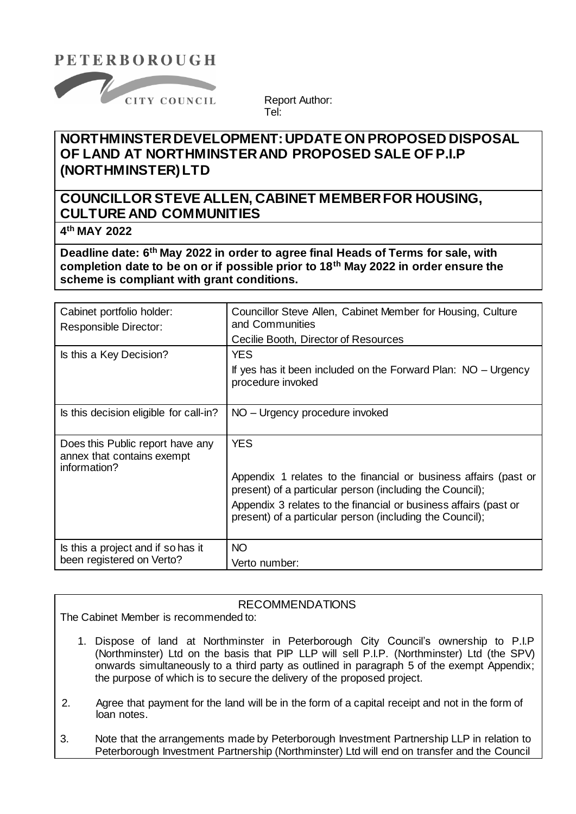# **PETERBOROUGH**



Report Author: Tel:

# **NORTHMINSTER DEVELOPMENT: UPDATE ON PROPOSED DISPOSAL OF LAND AT NORTHMINSTER AND PROPOSED SALE OF P.I.P (NORTHMINSTER) LTD**

# **COUNCILLOR STEVE ALLEN, CABINET MEMBER FOR HOUSING, CULTURE AND COMMUNITIES**

**4 th MAY 2022**

**Deadline date: 6 th May 2022 in order to agree final Heads of Terms for sale, with completion date to be on or if possible prior to 18th May 2022 in order ensure the scheme is compliant with grant conditions.**

| Cabinet portfolio holder:<br>Responsible Director:                             | Councillor Steve Allen, Cabinet Member for Housing, Culture<br>and Communities<br>Cecilie Booth, Director of Resources                                                                                                                                                     |  |  |
|--------------------------------------------------------------------------------|----------------------------------------------------------------------------------------------------------------------------------------------------------------------------------------------------------------------------------------------------------------------------|--|--|
| Is this a Key Decision?                                                        | <b>YES</b><br>If yes has it been included on the Forward Plan: NO – Urgency<br>procedure invoked                                                                                                                                                                           |  |  |
| Is this decision eligible for call-in?                                         | NO – Urgency procedure invoked                                                                                                                                                                                                                                             |  |  |
| Does this Public report have any<br>annex that contains exempt<br>information? | <b>YES</b><br>Appendix 1 relates to the financial or business affairs (past or<br>present) of a particular person (including the Council);<br>Appendix 3 relates to the financial or business affairs (past or<br>present) of a particular person (including the Council); |  |  |
| Is this a project and if so has it<br>been registered on Verto?                | <b>NO</b><br>Verto number:                                                                                                                                                                                                                                                 |  |  |

### RECOMMENDATIONS

The Cabinet Member is recommended to:

- 1. Dispose of land at Northminster in Peterborough City Council's ownership to P.I.P (Northminster) Ltd on the basis that PIP LLP will sell P.I.P. (Northminster) Ltd (the SPV) onwards simultaneously to a third party as outlined in paragraph 5 of the exempt Appendix; the purpose of which is to secure the delivery of the proposed project.
- 2. Agree that payment for the land will be in the form of a capital receipt and not in the form of loan notes.
- 3. Note that the arrangements made by Peterborough Investment Partnership LLP in relation to Peterborough Investment Partnership (Northminster) Ltd will end on transfer and the Council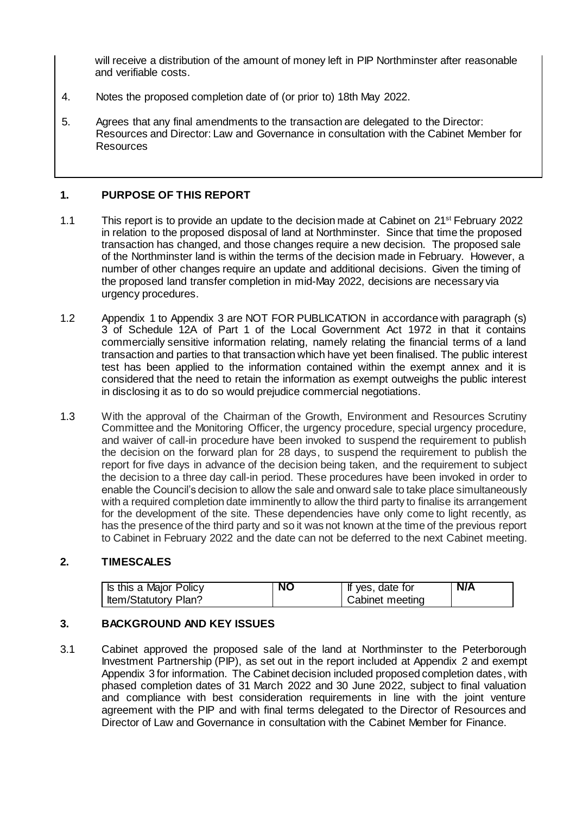will receive a distribution of the amount of money left in PIP Northminster after reasonable and verifiable costs.

- 4. Notes the proposed completion date of (or prior to) 18th May 2022.
- 5. Agrees that any final amendments to the transaction are delegated to the Director: Resources and Director: Law and Governance in consultation with the Cabinet Member for Resources

### **1. PURPOSE OF THIS REPORT**

- 1.1 This report is to provide an update to the decision made at Cabinet on 21st February 2022 in relation to the proposed disposal of land at Northminster. Since that time the proposed transaction has changed, and those changes require a new decision. The proposed sale of the Northminster land is within the terms of the decision made in February. However, a number of other changes require an update and additional decisions. Given the timing of the proposed land transfer completion in mid-May 2022, decisions are necessary via urgency procedures.
- 1.2 Appendix 1 to Appendix 3 are NOT FOR PUBLICATION in accordance with paragraph (s) 3 of Schedule 12A of Part 1 of the Local Government Act 1972 in that it contains commercially sensitive information relating, namely relating the financial terms of a land transaction and parties to that transaction which have yet been finalised. The public interest test has been applied to the information contained within the exempt annex and it is considered that the need to retain the information as exempt outweighs the public interest in disclosing it as to do so would prejudice commercial negotiations.
- 1.3 With the approval of the Chairman of the Growth, Environment and Resources Scrutiny Committee and the Monitoring Officer, the urgency procedure, special urgency procedure, and waiver of call-in procedure have been invoked to suspend the requirement to publish the decision on the forward plan for 28 days, to suspend the requirement to publish the report for five days in advance of the decision being taken, and the requirement to subject the decision to a three day call-in period. These procedures have been invoked in order to enable the Council's decision to allow the sale and onward sale to take place simultaneously with a required completion date imminently to allow the third party to finalise its arrangement for the development of the site. These dependencies have only come to light recently, as has the presence of the third party and so it was not known at the time of the previous report to Cabinet in February 2022 and the date can not be deferred to the next Cabinet meeting.

### **2. TIMESCALES**

| Is this a Major Policy | <b>NO</b> | If yes, date for | N/A |
|------------------------|-----------|------------------|-----|
| Item/Statutory Plan?   |           | Cabinet meeting  |     |

## **3. BACKGROUND AND KEY ISSUES**

3.1 Cabinet approved the proposed sale of the land at Northminster to the Peterborough Investment Partnership (PIP), as set out in the report included at Appendix 2 and exempt Appendix 3 for information. The Cabinet decision included proposed completion dates, with phased completion dates of 31 March 2022 and 30 June 2022, subject to final valuation and compliance with best consideration requirements in line with the joint venture agreement with the PIP and with final terms delegated to the Director of Resources and Director of Law and Governance in consultation with the Cabinet Member for Finance.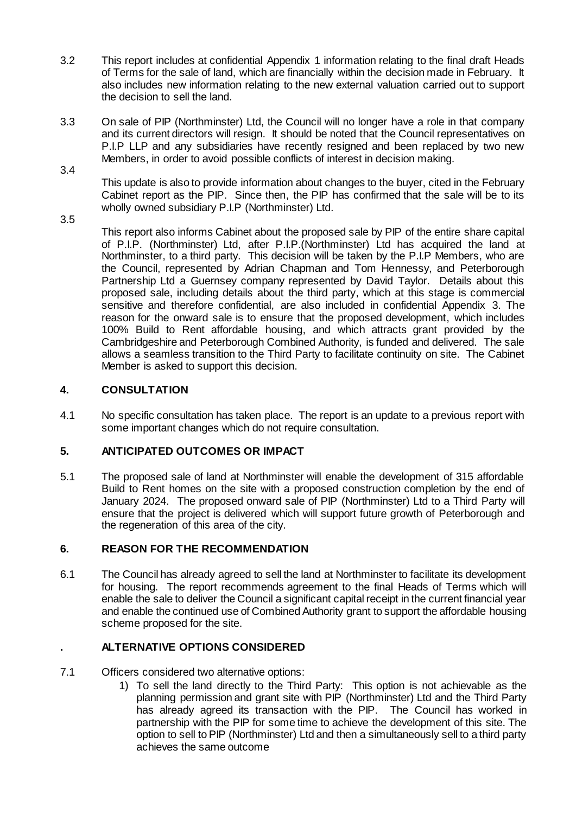- 3.2 This report includes at confidential Appendix 1 information relating to the final draft Heads of Terms for the sale of land, which are financially within the decision made in February. It also includes new information relating to the new external valuation carried out to support the decision to sell the land.
- 3.3 On sale of PIP (Northminster) Ltd, the Council will no longer have a role in that company and its current directors will resign. It should be noted that the Council representatives on P.I.P LLP and any subsidiaries have recently resigned and been replaced by two new Members, in order to avoid possible conflicts of interest in decision making.

3.4

This update is also to provide information about changes to the buyer, cited in the February Cabinet report as the PIP. Since then, the PIP has confirmed that the sale will be to its wholly owned subsidiary P.I.P (Northminster) Ltd.

3.5

This report also informs Cabinet about the proposed sale by PIP of the entire share capital of P.I.P. (Northminster) Ltd, after P.I.P.(Northminster) Ltd has acquired the land at Northminster, to a third party. This decision will be taken by the P.I.P Members, who are the Council, represented by Adrian Chapman and Tom Hennessy, and Peterborough Partnership Ltd a Guernsey company represented by David Taylor. Details about this proposed sale, including details about the third party, which at this stage is commercial sensitive and therefore confidential, are also included in confidential Appendix 3. The reason for the onward sale is to ensure that the proposed development, which includes 100% Build to Rent affordable housing, and which attracts grant provided by the Cambridgeshire and Peterborough Combined Authority, is funded and delivered. The sale allows a seamless transition to the Third Party to facilitate continuity on site. The Cabinet Member is asked to support this decision.

## **4. CONSULTATION**

4.1 No specific consultation has taken place. The report is an update to a previous report with some important changes which do not require consultation.

## **5. ANTICIPATED OUTCOMES OR IMPACT**

5.1 The proposed sale of land at Northminster will enable the development of 315 affordable Build to Rent homes on the site with a proposed construction completion by the end of January 2024. The proposed onward sale of PIP (Northminster) Ltd to a Third Party will ensure that the project is delivered which will support future growth of Peterborough and the regeneration of this area of the city.

## **6. REASON FOR THE RECOMMENDATION**

6.1 The Council has already agreed to sell the land at Northminster to facilitate its development for housing. The report recommends agreement to the final Heads of Terms which will enable the sale to deliver the Council a significant capital receipt in the current financial year and enable the continued use of Combined Authority grant to support the affordable housing scheme proposed for the site.

## **. ALTERNATIVE OPTIONS CONSIDERED**

- 7.1 Officers considered two alternative options:
	- 1) To sell the land directly to the Third Party: This option is not achievable as the planning permission and grant site with PIP (Northminster) Ltd and the Third Party has already agreed its transaction with the PIP. The Council has worked in partnership with the PIP for some time to achieve the development of this site. The option to sell to PIP (Northminster) Ltd and then a simultaneously sell to a third party achieves the same outcome